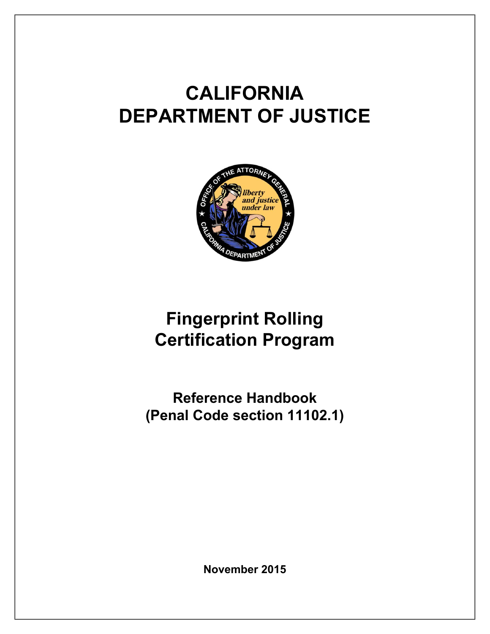# **CALIFORNIA DEPARTMENT OF JUSTICE**



## **Fingerprint Rolling Certification Program**

**Reference Handbook (Penal Code section 11102.1)** 

**November 2015**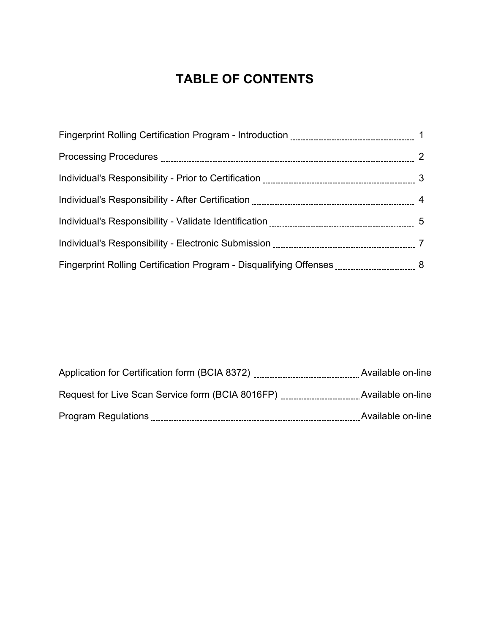#### **TABLE OF CONTENTS**

| Application for Certification form (BCIA 8372)   | Available on-line |
|--------------------------------------------------|-------------------|
| Request for Live Scan Service form (BCIA 8016FP) | Available on-line |
| <b>Program Regulations</b>                       | Available on-line |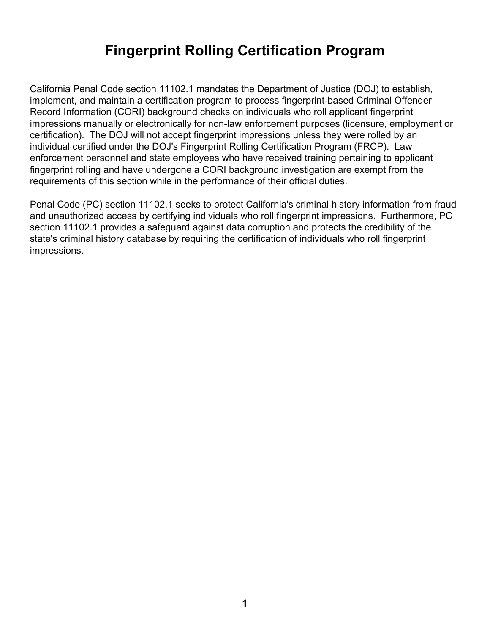## **Fingerprint Rolling Certification Program**

California Penal Code section 11102.1 mandates the Department of Justice (DOJ) to establish, implement, and maintain a certification program to process fingerprint-based Criminal Offender Record Information (CORI) background checks on individuals who roll applicant fingerprint impressions manually or electronically for non-law enforcement purposes (licensure, employment or certification). The DOJ will not accept fingerprint impressions unless they were rolled by an individual certified under the DOJ's Fingerprint Rolling Certification Program (FRCP). Law enforcement personnel and state employees who have received training pertaining to applicant fingerprint rolling and have undergone a CORI background investigation are exempt from the requirements of this section while in the performance of their official duties.

Penal Code (PC) section 11102.1 seeks to protect California's criminal history information from fraud and unauthorized access by certifying individuals who roll fingerprint impressions. Furthermore, PC section 11102.1 provides a safeguard against data corruption and protects the credibility of the state's criminal history database by requiring the certification of individuals who roll fingerprint impressions.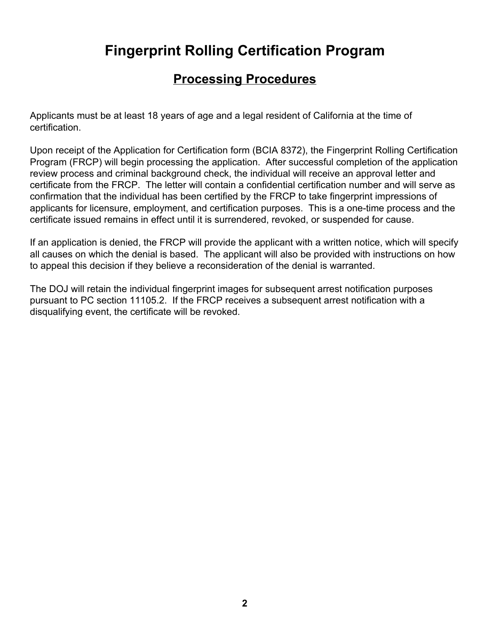## **Fingerprint Rolling Certification Program**

#### **Processing Procedures**

Applicants must be at least 18 years of age and a legal resident of California at the time of certification.

Upon receipt of the Application for Certification form (BCIA 8372), the Fingerprint Rolling Certification Program (FRCP) will begin processing the application. After successful completion of the application review process and criminal background check, the individual will receive an approval letter and certificate from the FRCP. The letter will contain a confidential certification number and will serve as confirmation that the individual has been certified by the FRCP to take fingerprint impressions of applicants for licensure, employment, and certification purposes. This is a one-time process and the certificate issued remains in effect until it is surrendered, revoked, or suspended for cause.

If an application is denied, the FRCP will provide the applicant with a written notice, which will specify all causes on which the denial is based. The applicant will also be provided with instructions on how to appeal this decision if they believe a reconsideration of the denial is warranted.

The DOJ will retain the individual fingerprint images for subsequent arrest notification purposes pursuant to PC section 11105.2. If the FRCP receives a subsequent arrest notification with a disqualifying event, the certificate will be revoked.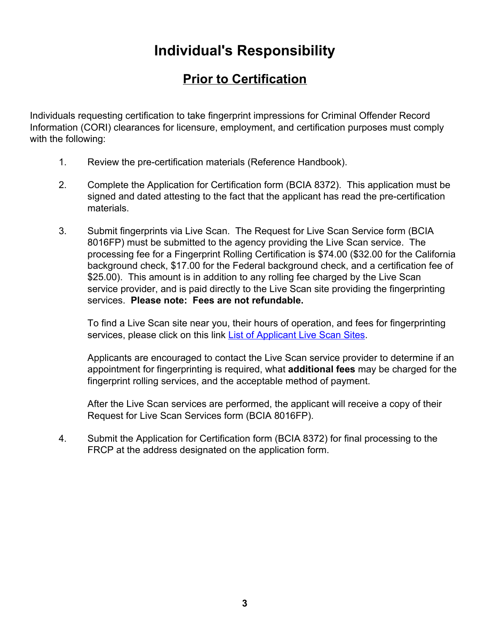#### **Prior to Certification**

Individuals requesting certification to take fingerprint impressions for Criminal Offender Record Information (CORI) clearances for licensure, employment, and certification purposes must comply with the following:

- 1. Review the pre-certification materials (Reference Handbook).
- 2. Complete the Application for Certification form (BCIA 8372). This application must be signed and dated attesting to the fact that the applicant has read the pre-certification materials.
- 3. Submit fingerprints via Live Scan. The Request for Live Scan Service form (BCIA 8016FP) must be submitted to the agency providing the Live Scan service. The processing fee for a Fingerprint Rolling Certification is \$74.00 (\$32.00 for the California background check, \$17.00 for the Federal background check, and a certification fee of \$25.00). This amount is in addition to any rolling fee charged by the Live Scan service provider, and is paid directly to the Live Scan site providing the fingerprinting services. **Please note: Fees are not refundable.**

To find a Live Scan site near you, their hours of operation, and fees for fingerprinting services, please click on this link List of Applicant Live Scan Sites.

Applicants are encouraged to contact the Live Scan service provider to determine if an appointment for fingerprinting is required, what **additional fees** may be charged for the fingerprint rolling services, and the acceptable method of payment.

After the Live Scan services are performed, the applicant will receive a copy of their Request for Live Scan Services form (BCIA 8016FP).

4. Submit the Application for Certification form (BCIA 8372) for final processing to the FRCP at the address designated on the application form.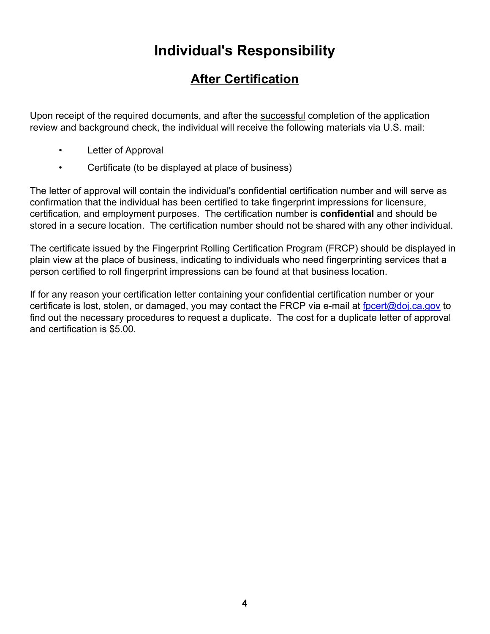#### **After Certification**

Upon receipt of the required documents, and after the successful completion of the application review and background check, the individual will receive the following materials via U.S. mail:

- Letter of Approval
- Certificate (to be displayed at place of business)

The letter of approval will contain the individual's confidential certification number and will serve as confirmation that the individual has been certified to take fingerprint impressions for licensure, certification, and employment purposes. The certification number is **confidential** and should be stored in a secure location. The certification number should not be shared with any other individual.

The certificate issued by the Fingerprint Rolling Certification Program (FRCP) should be displayed in plain view at the place of business, indicating to individuals who need fingerprinting services that a person certified to roll fingerprint impressions can be found at that business location.

If for any reason your certification letter containing your confidential certification number or your certificate is lost, stolen, or damaged, you may contact the FRCP via e-mail at fpcert@doj.ca.gov to find out the necessary procedures to request a duplicate. The cost for a duplicate letter of approval and certification is \$5.00.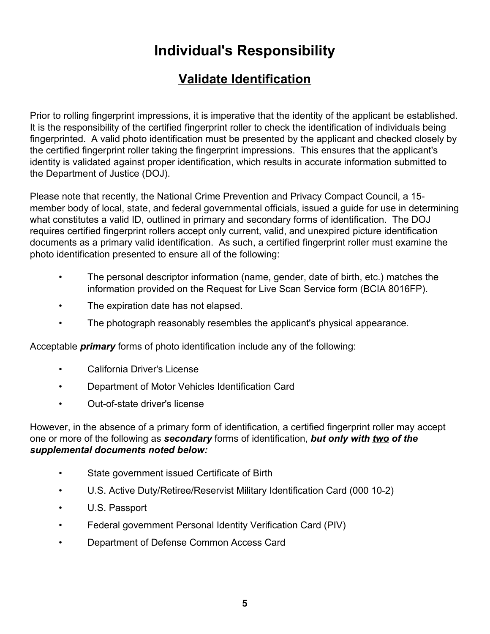#### **Validate Identification**

Prior to rolling fingerprint impressions, it is imperative that the identity of the applicant be established. It is the responsibility of the certified fingerprint roller to check the identification of individuals being fingerprinted. A valid photo identification must be presented by the applicant and checked closely by the certified fingerprint roller taking the fingerprint impressions. This ensures that the applicant's identity is validated against proper identification, which results in accurate information submitted to the Department of Justice (DOJ).

Please note that recently, the National Crime Prevention and Privacy Compact Council, a 15 member body of local, state, and federal governmental officials, issued a guide for use in determining what constitutes a valid ID, outlined in primary and secondary forms of identification. The DOJ requires certified fingerprint rollers accept only current, valid, and unexpired picture identification documents as a primary valid identification. As such, a certified fingerprint roller must examine the photo identification presented to ensure all of the following:

- The personal descriptor information (name, gender, date of birth, etc.) matches the information provided on the Request for Live Scan Service form (BCIA 8016FP).
- The expiration date has not elapsed.
- The photograph reasonably resembles the applicant's physical appearance.

Acceptable *primary* forms of photo identification include any of the following:

- California Driver's License
- Department of Motor Vehicles Identification Card
- Out-of-state driver's license

However, in the absence of a primary form of identification, a certified fingerprint roller may accept one or more of the following as *secondary* forms of identification, *but only with two of the supplemental documents noted below:*

- State government issued Certificate of Birth
- U.S. Active Duty/Retiree/Reservist Military Identification Card (000 10-2)
- U.S. Passport
- Federal government Personal Identity Verification Card (PIV)
- Department of Defense Common Access Card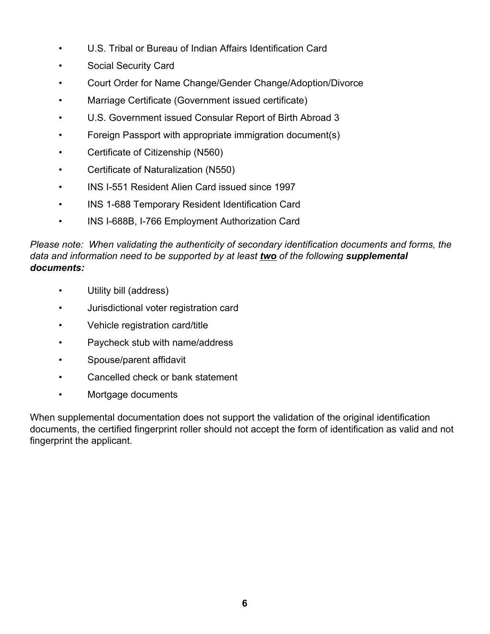- U.S. Tribal or Bureau of Indian Affairs Identification Card
- Social Security Card
- Court Order for Name Change/Gender Change/Adoption/Divorce
- Marriage Certificate (Government issued certificate)
- U.S. Government issued Consular Report of Birth Abroad 3
- Foreign Passport with appropriate immigration document(s)
- Certificate of Citizenship (N560)
- Certificate of Naturalization (N550)
- INS I-551 Resident Alien Card issued since 1997
- INS 1-688 Temporary Resident Identification Card
- INS I-688B, I-766 Employment Authorization Card

*Please note: When validating the authenticity of secondary identification documents and forms, the data and information need to be supported by at least two of the following supplemental documents:*

- Utility bill (address)
- Jurisdictional voter registration card
- Vehicle registration card/title
- Paycheck stub with name/address
- Spouse/parent affidavit
- Cancelled check or bank statement
- Mortgage documents

When supplemental documentation does not support the validation of the original identification documents, the certified fingerprint roller should not accept the form of identification as valid and not fingerprint the applicant.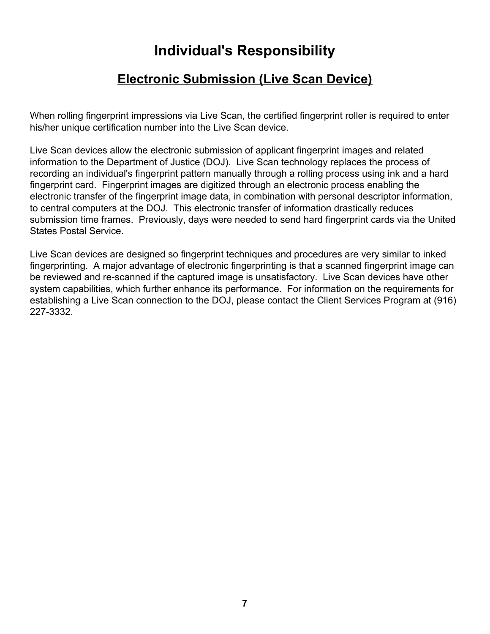#### **Electronic Submission (Live Scan Device)**

When rolling fingerprint impressions via Live Scan, the certified fingerprint roller is required to enter his/her unique certification number into the Live Scan device.

Live Scan devices allow the electronic submission of applicant fingerprint images and related information to the Department of Justice (DOJ). Live Scan technology replaces the process of recording an individual's fingerprint pattern manually through a rolling process using ink and a hard fingerprint card. Fingerprint images are digitized through an electronic process enabling the electronic transfer of the fingerprint image data, in combination with personal descriptor information, to central computers at the DOJ. This electronic transfer of information drastically reduces submission time frames. Previously, days were needed to send hard fingerprint cards via the United States Postal Service.

Live Scan devices are designed so fingerprint techniques and procedures are very similar to inked fingerprinting. A major advantage of electronic fingerprinting is that a scanned fingerprint image can be reviewed and re-scanned if the captured image is unsatisfactory. Live Scan devices have other system capabilities, which further enhance its performance. For information on the requirements for establishing a Live Scan connection to the DOJ, please contact the Client Services Program at (916) 227-3332.